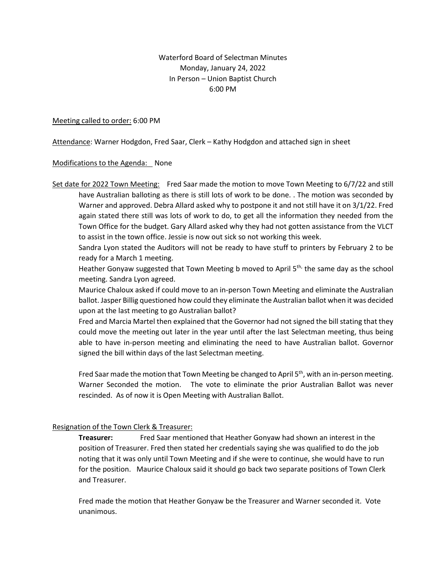#### Waterford Board of Selectman Minutes Monday, January 24, 2022 In Person – Union Baptist Church 6:00 PM

#### Meeting called to order: 6:00 PM

Attendance: Warner Hodgdon, Fred Saar, Clerk – Kathy Hodgdon and attached sign in sheet

#### Modifications to the Agenda: None

Set date for 2022 Town Meeting: Fred Saar made the motion to move Town Meeting to 6/7/22 and still have Australian balloting as there is still lots of work to be done. . The motion was seconded by Warner and approved. Debra Allard asked why to postpone it and not still have it on 3/1/22. Fred again stated there still was lots of work to do, to get all the information they needed from the Town Office for the budget. Gary Allard asked why they had not gotten assistance from the VLCT to assist in the town office. Jessie is now out sick so not working this week.

Sandra Lyon stated the Auditors will not be ready to have stuff to printers by February 2 to be ready for a March 1 meeting.

Heather Gonyaw suggested that Town Meeting b moved to April 5<sup>th,</sup> the same day as the school meeting. Sandra Lyon agreed.

Maurice Chaloux asked if could move to an in-person Town Meeting and eliminate the Australian ballot. Jasper Billig questioned how could they eliminate the Australian ballot when it was decided upon at the last meeting to go Australian ballot?

Fred and Marcia Martel then explained that the Governor had not signed the bill stating that they could move the meeting out later in the year until after the last Selectman meeting, thus being able to have in-person meeting and eliminating the need to have Australian ballot. Governor signed the bill within days of the last Selectman meeting.

Fred Saar made the motion that Town Meeting be changed to April  $5<sup>th</sup>$ , with an in-person meeting. Warner Seconded the motion. The vote to eliminate the prior Australian Ballot was never rescinded. As of now it is Open Meeting with Australian Ballot.

#### Resignation of the Town Clerk & Treasurer:

**Treasurer:** Fred Saar mentioned that Heather Gonyaw had shown an interest in the position of Treasurer. Fred then stated her credentials saying she was qualified to do the job noting that it was only until Town Meeting and if she were to continue, she would have to run for the position. Maurice Chaloux said it should go back two separate positions of Town Clerk and Treasurer.

Fred made the motion that Heather Gonyaw be the Treasurer and Warner seconded it. Vote unanimous.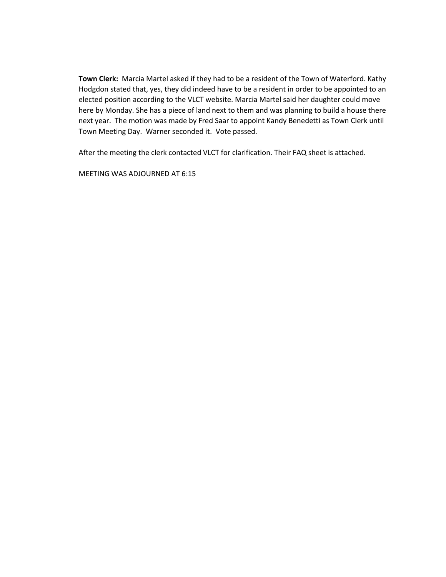**Town Clerk:** Marcia Martel asked if they had to be a resident of the Town of Waterford. Kathy Hodgdon stated that, yes, they did indeed have to be a resident in order to be appointed to an elected position according to the VLCT website. Marcia Martel said her daughter could move here by Monday. She has a piece of land next to them and was planning to build a house there next year. The motion was made by Fred Saar to appoint Kandy Benedetti as Town Clerk until Town Meeting Day. Warner seconded it. Vote passed.

After the meeting the clerk contacted VLCT for clarification. Their FAQ sheet is attached.

MEETING WAS ADJOURNED AT 6:15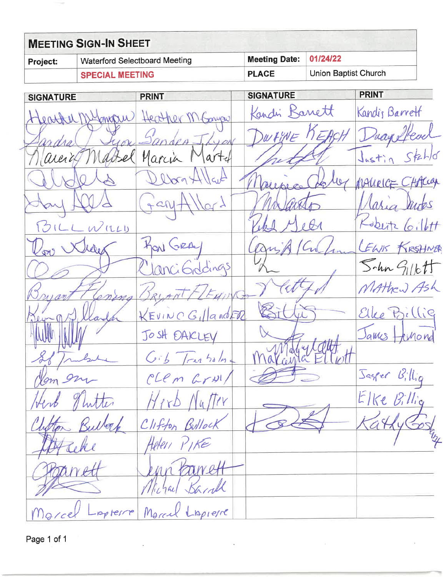|                 | <b>MEETING SIGN-IN SHEET</b>         |                        |                      |  |
|-----------------|--------------------------------------|------------------------|----------------------|--|
| <b>Project:</b> | <b>Waterford Selectboard Meeting</b> | Meeting Date: 01/24/22 |                      |  |
|                 | <b>SPECIAL MEETING</b>               | <b>PLACE</b>           | Union Baptist Church |  |

| <b>SIGNATURE</b>                | <b>PRINT</b>    | <b>SIGNATURE</b> | <b>PRINT</b>        |
|---------------------------------|-----------------|------------------|---------------------|
| Heather Mympu Heather M. Conger |                 | Kandri Banett    | Kandis Barrett      |
| Sandra Jyon Sandes J, Lyon      |                 | DWHINE KEACH     | Duayelfead          |
| naicia Machel Marcia Martel     |                 | petty            | Justin Stahld       |
| Ildets                          | Debra 41/44     | Daupres Deloy    | MALIELGE CHACay     |
| day Mid                         | Gantllard       | nivanto          | Maria Judes         |
| BILLWILLD                       |                 | and year         | Kobitz Cillt        |
| Row Wille                       | HON GRAY        | Drip/Cul         | LEWIS KRSHNER       |
| $D\varnothing$                  | ClanciGddings   |                  | $5 - ln G_{11}c$ tt |
| Bruart<br>Conina                | BRYANT/LEMIN    | Vatted           | MAthew Ash          |
| Sey- Villade                    | KEVINCGILLandFR | Bittis           | Ellee Billie        |
|                                 | JOSH DAKLEY     |                  | James Hunond        |
| If Inderle                      | Gib Transala    | Malayla Ellic    |                     |
| Nom en                          | CLEM Grul/      |                  | Jager Billig        |
| Herb Thatter                    | Herb Nutter     |                  | Elke Billig         |
| illott                          | Clifton Bullock |                  |                     |
|                                 | Helen PIKE      |                  |                     |
|                                 |                 |                  |                     |
|                                 | lichael Karall  |                  |                     |
| antaldo                         | Marcel Lapierre |                  |                     |

Page 1 of 1

**Tele**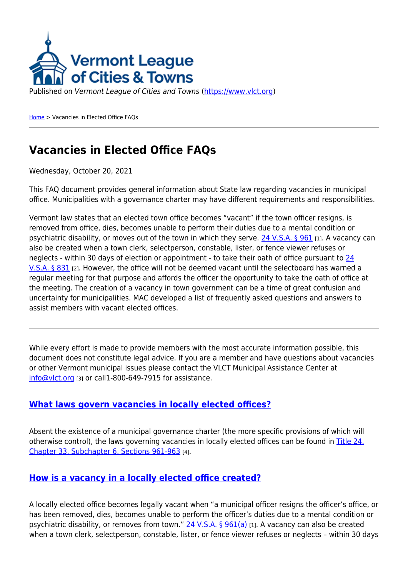

Published on Vermont League of Cities and Towns [\(https://www.vlct.org](https://www.vlct.org))

[Home](https://www.vlct.org/) > Vacancies in Elected Office FAQs

# **Vacancies in Elected Office FAQs**

Wednesday, October 20, 2021

This FAQ document provides general information about State law regarding vacancies in municipal office. Municipalities with a governance charter may have different requirements and responsibilities.

Vermont law states that an elected town office becomes "vacant" if the town officer resigns, is removed from office, dies, becomes unable to perform their duties due to a mental condition or psychiatric disability, or moves out of the town in which they serve. [24 V.S.A. § 961](https://legislature.vermont.gov/statutes/section/24/033/00961) [1]. A vacancy can also be created when a town clerk, selectperson, constable, lister, or fence viewer refuses or neglects - within 30 days of election or appointment - to take their oath of office pursuant to [24](https://legislature.vermont.gov/statutes/section/24/033/00831) [V.S.A. § 831](https://legislature.vermont.gov/statutes/section/24/033/00831) [2]. However, the office will not be deemed vacant until the selectboard has warned a regular meeting for that purpose and affords the officer the opportunity to take the oath of office at the meeting. The creation of a vacancy in town government can be a time of great confusion and uncertainty for municipalities. MAC developed a list of frequently asked questions and answers to assist members with vacant elected offices.

While every effort is made to provide members with the most accurate information possible, this document does not constitute legal advice. If you are a member and have questions about vacancies or other Vermont municipal issues please contact the VLCT Municipal Assistance Center at [info@vlct.org](mailto:info@vlct.org) [3] or call1-800-649-7915 for assistance.

## <span id="page-3-0"></span>**[What laws govern vacancies in locally elected offices?](#page-3-0)**

Absent the existence of a municipal governance charter (the more specific provisions of which will otherwise control), the laws governing vacancies in locally elected offices can be found in [Title 24,](https://legislature.vermont.gov/statutes/chapter/24/033) [Chapter 33, Subchapter 6, Sections 961-963](https://legislature.vermont.gov/statutes/chapter/24/033) [4].

# <span id="page-3-1"></span>**[How is a vacancy in a locally elected office created?](#page-3-1)**

A locally elected office becomes legally vacant when "a municipal officer resigns the officer's office, or has been removed, dies, becomes unable to perform the officer's duties due to a mental condition or psychiatric disability, or removes from town." [24 V.S.A. § 961\(a\)](https://legislature.vermont.gov/statutes/section/24/033/00961) [1]. A vacancy can also be created when a town clerk, selectperson, constable, lister, or fence viewer refuses or neglects – within 30 days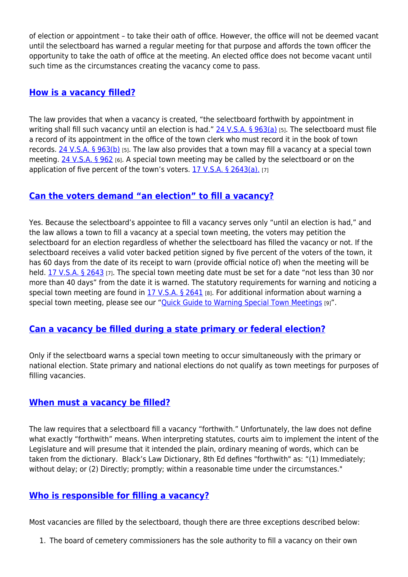of election or appointment – to take their oath of office. However, the office will not be deemed vacant until the selectboard has warned a regular meeting for that purpose and affords the town officer the opportunity to take the oath of office at the meeting. An elected office does not become vacant until such time as the circumstances creating the vacancy come to pass.

## <span id="page-4-0"></span>**[How is a vacancy filled?](#page-4-0)**

The law provides that when a vacancy is created, "the selectboard forthwith by appointment in writing shall fill such vacancy until an election is had."  $24$  V.S.A. § 963(a) [5]. The selectboard must file a record of its appointment in the office of the town clerk who must record it in the book of town records. [24 V.S.A. § 963\(b\)](https://legislature.vermont.gov/statutes/section/24/033/00963) [5]. The law also provides that a town may fill a vacancy at a special town meeting. [24 V.S.A. § 962](https://legislature.vermont.gov/statutes/section/24/033/00962) [6]. A special town meeting may be called by the selectboard or on the application of five percent of the town's voters.  $17$  V.S.A. § 2643(a). [7]

## <span id="page-4-1"></span>**[Can the voters demand "an election" to fill a vacancy?](#page-4-1)**

Yes. Because the selectboard's appointee to fill a vacancy serves only "until an election is had," and the law allows a town to fill a vacancy at a special town meeting, the voters may petition the selectboard for an election regardless of whether the selectboard has filled the vacancy or not. If the selectboard receives a valid voter backed petition signed by five percent of the voters of the town, it has 60 days from the date of its receipt to warn (provide official notice of) when the meeting will be held. [17 V.S.A. § 2643](https://legislature.vermont.gov/statutes/section/17/055/02643) [7]. The special town meeting date must be set for a date "not less than 30 nor more than 40 days" from the date it is warned. The statutory requirements for warning and noticing a special town meeting are found in [17 V.S.A. § 2641](https://legislature.vermont.gov/statutes/section/17/055/02641) [8]. For additional information about warning a special town meeting, please see our "[Quick Guide to Warning Special Town Meetings](https://www.vlct.org/node/14419) [9]".

# <span id="page-4-2"></span>**[Can a vacancy be filled during a state primary or federal election?](#page-4-2)**

Only if the selectboard warns a special town meeting to occur simultaneously with the primary or national election. State primary and national elections do not qualify as town meetings for purposes of filling vacancies.

## <span id="page-4-3"></span>**[When must a vacancy be filled?](#page-4-3)**

The law requires that a selectboard fill a vacancy "forthwith." Unfortunately, the law does not define what exactly "forthwith" means. When interpreting statutes, courts aim to implement the intent of the Legislature and will presume that it intended the plain, ordinary meaning of words, which can be taken from the dictionary. Black's Law Dictionary, 8th Ed defines "forthwith" as: "(1) Immediately; without delay; or (2) Directly; promptly; within a reasonable time under the circumstances."

## <span id="page-4-4"></span>**[Who is responsible for filling a vacancy?](#page-4-4)**

Most vacancies are filled by the selectboard, though there are three exceptions described below:

1. The board of cemetery commissioners has the sole authority to fill a vacancy on their own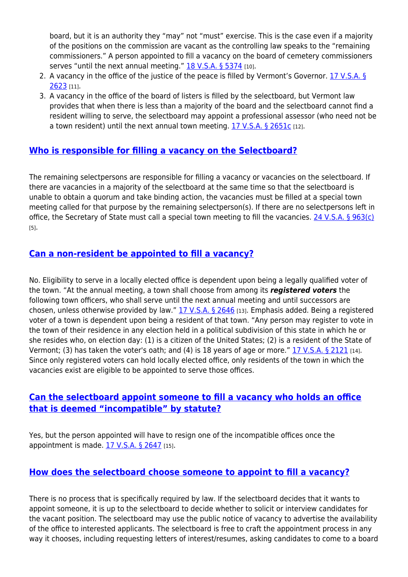board, but it is an authority they "may" not "must" exercise. This is the case even if a majority of the positions on the commission are vacant as the controlling law speaks to the "remaining commissioners." A person appointed to fill a vacancy on the board of cemetery commissioners serves "until the next annual meeting." [18 V.S.A. § 5374](https://legislature.vermont.gov/statutes/section/18/121/05374) [10].

- 2. A vacancy in the office of the justice of the peace is filled by Vermont's Governor. [17 V.S.A. §](https://legislature.vermont.gov/statutes/section/17/053/02623) [2623](https://legislature.vermont.gov/statutes/section/17/053/02623) [11].
- 3. A vacancy in the office of the board of listers is filled by the selectboard, but Vermont law provides that when there is less than a majority of the board and the selectboard cannot find a resident willing to serve, the selectboard may appoint a professional assessor (who need not be a town resident) until the next annual town meeting. [17 V.S.A. § 2651c](https://legislature.vermont.gov/statutes/section/17/055/02651C) [12].

# <span id="page-5-0"></span>**[Who is responsible for filling a vacancy on the Selectboard?](#page-5-0)**

The remaining selectpersons are responsible for filling a vacancy or vacancies on the selectboard. If there are vacancies in a majority of the selectboard at the same time so that the selectboard is unable to obtain a quorum and take binding action, the vacancies must be filled at a special town meeting called for that purpose by the remaining selectperson(s). If there are no selectpersons left in office, the Secretary of State must call a special town meeting to fill the vacancies. [24 V.S.A. § 963\(c\)](https://legislature.vermont.gov/statutes/section/24/033/00963) [5].

# <span id="page-5-1"></span>**[Can a non-resident be appointed to fill a vacancy?](#page-5-1)**

No. Eligibility to serve in a locally elected office is dependent upon being a legally qualified voter of the town. "At the annual meeting, a town shall choose from among its *registered voters* the following town officers, who shall serve until the next annual meeting and until successors are chosen, unless otherwise provided by law." [17 V.S.A. § 2646](https://legislature.vermont.gov/statutes/section/17/055/02646) [13]. Emphasis added. Being a registered voter of a town is dependent upon being a resident of that town. "Any person may register to vote in the town of their residence in any election held in a political subdivision of this state in which he or she resides who, on election day: (1) is a citizen of the United States; (2) is a resident of the State of Vermont; (3) has taken the voter's oath; and (4) is 18 years of age or more." [17 V.S.A. § 2121](https://legislature.vermont.gov/statutes/section/17/043/02121) [14]. Since only registered voters can hold locally elected office, only residents of the town in which the vacancies exist are eligible to be appointed to serve those offices.

## <span id="page-5-2"></span>**[Can the selectboard appoint someone to fill a vacancy who holds an office](#page-5-2) [that is deemed "incompatible" by statute?](#page-5-2)**

Yes, but the person appointed will have to resign one of the incompatible offices once the appointment is made.  $17$  V.S.A. § 2647 [15].

## <span id="page-5-3"></span>**[How does the selectboard choose someone to appoint to fill a vacancy?](#page-5-3)**

There is no process that is specifically required by law. If the selectboard decides that it wants to appoint someone, it is up to the selectboard to decide whether to solicit or interview candidates for the vacant position. The selectboard may use the public notice of vacancy to advertise the availability of the office to interested applicants. The selectboard is free to craft the appointment process in any way it chooses, including requesting letters of interest/resumes, asking candidates to come to a board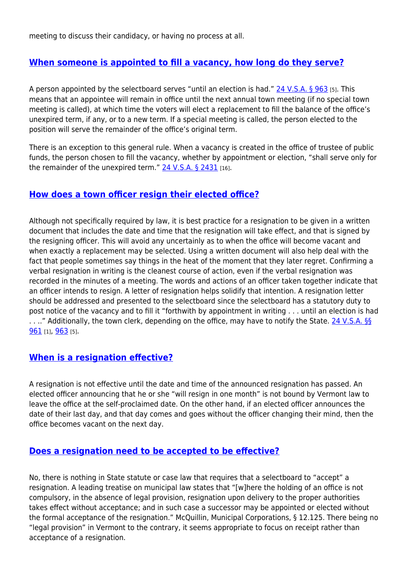meeting to discuss their candidacy, or having no process at all.

# <span id="page-6-0"></span>**[When someone is appointed to fill a vacancy, how long do they serve?](#page-6-0)**

A person appointed by the selectboard serves "until an election is had." [24 V.S.A. § 963](https://legislature.vermont.gov/statutes/section/24/033/00963) [5]. This means that an appointee will remain in office until the next annual town meeting (if no special town meeting is called), at which time the voters will elect a replacement to fill the balance of the office's unexpired term, if any, or to a new term. If a special meeting is called, the person elected to the position will serve the remainder of the office's original term.

There is an exception to this general rule. When a vacancy is created in the office of trustee of public funds, the person chosen to fill the vacancy, whether by appointment or election, "shall serve only for the remainder of the unexpired term."  $24$  V.S.A. § 2431 [16].

#### <span id="page-6-1"></span>**[How does a town officer resign their elected office?](#page-6-1)**

Although not specifically required by law, it is best practice for a resignation to be given in a written document that includes the date and time that the resignation will take effect, and that is signed by the resigning officer. This will avoid any uncertainly as to when the office will become vacant and when exactly a replacement may be selected. Using a written document will also help deal with the fact that people sometimes say things in the heat of the moment that they later regret. Confirming a verbal resignation in writing is the cleanest course of action, even if the verbal resignation was recorded in the minutes of a meeting. The words and actions of an officer taken together indicate that an officer intends to resign. A letter of resignation helps solidify that intention. A resignation letter should be addressed and presented to the selectboard since the selectboard has a statutory duty to post notice of the vacancy and to fill it "forthwith by appointment in writing . . . until an election is had . . .." Additionally, the town clerk, depending on the office, may have to notify the State. [24 V.S.A. §§](https://legislature.vermont.gov/statutes/section/24/033/00961) [961](https://legislature.vermont.gov/statutes/section/24/033/00961) [1], [963](https://legislature.vermont.gov/statutes/section/24/033/00963) [5].

## <span id="page-6-2"></span>**[When is a resignation effective?](#page-6-2)**

A resignation is not effective until the date and time of the announced resignation has passed. An elected officer announcing that he or she "will resign in one month" is not bound by Vermont law to leave the office at the self-proclaimed date. On the other hand, if an elected officer announces the date of their last day, and that day comes and goes without the officer changing their mind, then the office becomes vacant on the next day.

#### <span id="page-6-3"></span>**[Does a resignation need to be accepted to be effective?](#page-6-3)**

<span id="page-6-4"></span>No, there is nothing in State statute or case law that requires that a selectboard to "accept" a resignation. A leading treatise on municipal law states that "[w]here the holding of an office is not compulsory, in the absence of legal provision, resignation upon delivery to the proper authorities takes effect without acceptance; and in such case a successor may be appointed or elected without the formal acceptance of the resignation." McQuillin, Municipal Corporations, § 12.125. There being no "legal provision" in Vermont to the contrary, it seems appropriate to focus on receipt rather than acceptance of a resignation.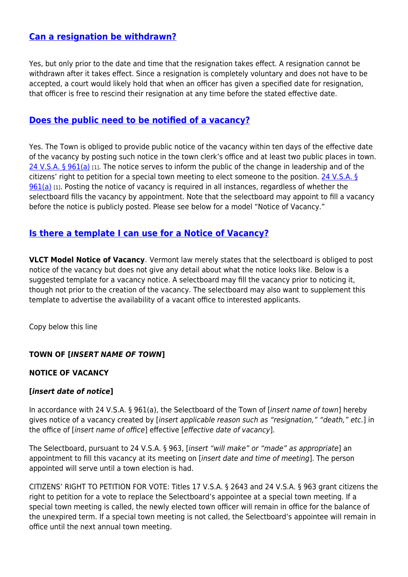## **[Can a resignation be withdrawn?](#page-6-4)**

Yes, but only prior to the date and time that the resignation takes effect. A resignation cannot be withdrawn after it takes effect. Since a resignation is completely voluntary and does not have to be accepted, a court would likely hold that when an officer has given a specified date for resignation, that officer is free to rescind their resignation at any time before the stated effective date.

## <span id="page-7-0"></span>**[Does the public need to be notified of a vacancy?](#page-7-0)**

Yes. The Town is obliged to provide public notice of the vacancy within ten days of the effective date of the vacancy by posting such notice in the town clerk's office and at least two public places in town. [24 V.S.A. § 961\(a\)](https://legislature.vermont.gov/statutes/section/24/033/00961) [1]. The notice serves to inform the public of the change in leadership and of the citizens' right to petition for a special town meeting to elect someone to the position. [24 V.S.A. §](https://legislature.vermont.gov/statutes/section/24/033/00961)  $961(a)$  [1]. Posting the notice of vacancy is required in all instances, regardless of whether the selectboard fills the vacancy by appointment. Note that the selectboard may appoint to fill a vacancy before the notice is publicly posted. Please see below for a model "Notice of Vacancy."

## <span id="page-7-1"></span>**[Is there a template I can use for a Notice of Vacancy?](#page-7-1)**

**VLCT Model Notice of Vacancy.** Vermont law merely states that the selectboard is obliged to post notice of the vacancy but does not give any detail about what the notice looks like. Below is a suggested template for a vacancy notice. A selectboard may fill the vacancy prior to noticing it, though not prior to the creation of the vacancy. The selectboard may also want to supplement this template to advertise the availability of a vacant office to interested applicants.

Copy below this line

#### **TOWN OF [***INSERT NAME OF TOWN***]**

#### **NOTICE OF VACANCY**

#### **[***insert date of notice***]**

In accordance with 24 V.S.A. § 961(a), the Selectboard of the Town of *linsert name of town*] hereby gives notice of a vacancy created by [insert applicable reason such as "resignation," "death," etc.] in the office of [insert name of office] effective [effective date of vacancy].

The Selectboard, pursuant to 24 V.S.A. § 963, [insert "will make" or "made" as appropriate] an appointment to fill this vacancy at its meeting on [insert date and time of meeting]. The person appointed will serve until a town election is had.

CITIZENS' RIGHT TO PETITION FOR VOTE: Titles 17 V.S.A. § 2643 and 24 V.S.A. § 963 grant citizens the right to petition for a vote to replace the Selectboard's appointee at a special town meeting. If a special town meeting is called, the newly elected town officer will remain in office for the balance of the unexpired term. If a special town meeting is not called, the Selectboard's appointee will remain in office until the next annual town meeting.